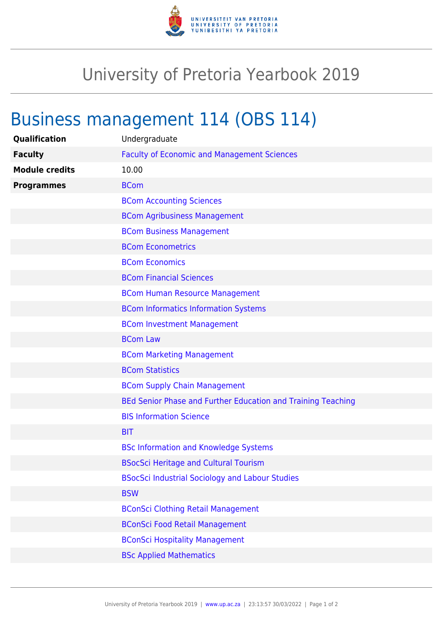

## University of Pretoria Yearbook 2019

## Business management 114 (OBS 114)

| Qualification         | Undergraduate                                                |
|-----------------------|--------------------------------------------------------------|
| <b>Faculty</b>        | <b>Faculty of Economic and Management Sciences</b>           |
| <b>Module credits</b> | 10.00                                                        |
| <b>Programmes</b>     | <b>BCom</b>                                                  |
|                       | <b>BCom Accounting Sciences</b>                              |
|                       | <b>BCom Agribusiness Management</b>                          |
|                       | <b>BCom Business Management</b>                              |
|                       | <b>BCom Econometrics</b>                                     |
|                       | <b>BCom Economics</b>                                        |
|                       | <b>BCom Financial Sciences</b>                               |
|                       | <b>BCom Human Resource Management</b>                        |
|                       | <b>BCom Informatics Information Systems</b>                  |
|                       | <b>BCom Investment Management</b>                            |
|                       | <b>BCom Law</b>                                              |
|                       | <b>BCom Marketing Management</b>                             |
|                       | <b>BCom Statistics</b>                                       |
|                       | <b>BCom Supply Chain Management</b>                          |
|                       | BEd Senior Phase and Further Education and Training Teaching |
|                       | <b>BIS Information Science</b>                               |
|                       | <b>BIT</b>                                                   |
|                       | <b>BSc Information and Knowledge Systems</b>                 |
|                       | <b>BSocSci Heritage and Cultural Tourism</b>                 |
|                       | <b>BSocSci Industrial Sociology and Labour Studies</b>       |
|                       | <b>BSW</b>                                                   |
|                       | <b>BConSci Clothing Retail Management</b>                    |
|                       | <b>BConSci Food Retail Management</b>                        |
|                       | <b>BConSci Hospitality Management</b>                        |
|                       | <b>BSc Applied Mathematics</b>                               |
|                       |                                                              |